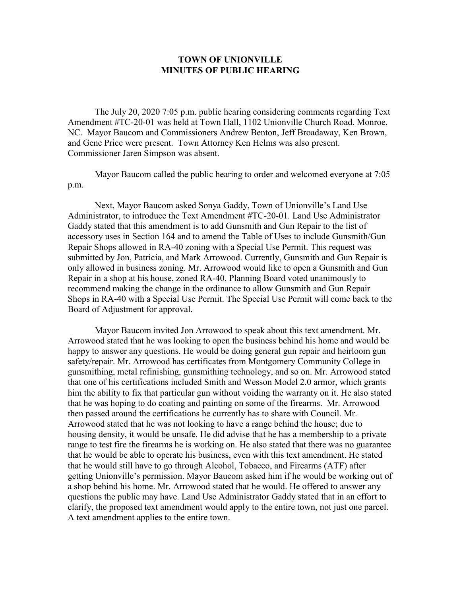## **TOWN OF UNIONVILLE MINUTES OF PUBLIC HEARING**

The July 20, 2020 7:05 p.m. public hearing considering comments regarding Text Amendment #TC-20-01 was held at Town Hall, 1102 Unionville Church Road, Monroe, NC. Mayor Baucom and Commissioners Andrew Benton, Jeff Broadaway, Ken Brown, and Gene Price were present. Town Attorney Ken Helms was also present. Commissioner Jaren Simpson was absent.

Mayor Baucom called the public hearing to order and welcomed everyone at 7:05 p.m.

Next, Mayor Baucom asked Sonya Gaddy, Town of Unionville's Land Use Administrator, to introduce the Text Amendment #TC-20-01. Land Use Administrator Gaddy stated that this amendment is to add Gunsmith and Gun Repair to the list of accessory uses in Section 164 and to amend the Table of Uses to include Gunsmith/Gun Repair Shops allowed in RA-40 zoning with a Special Use Permit. This request was submitted by Jon, Patricia, and Mark Arrowood. Currently, Gunsmith and Gun Repair is only allowed in business zoning. Mr. Arrowood would like to open a Gunsmith and Gun Repair in a shop at his house, zoned RA-40. Planning Board voted unanimously to recommend making the change in the ordinance to allow Gunsmith and Gun Repair Shops in RA-40 with a Special Use Permit. The Special Use Permit will come back to the Board of Adjustment for approval.

Mayor Baucom invited Jon Arrowood to speak about this text amendment. Mr. Arrowood stated that he was looking to open the business behind his home and would be happy to answer any questions. He would be doing general gun repair and heirloom gun safety/repair. Mr. Arrowood has certificates from Montgomery Community College in gunsmithing, metal refinishing, gunsmithing technology, and so on. Mr. Arrowood stated that one of his certifications included Smith and Wesson Model 2.0 armor, which grants him the ability to fix that particular gun without voiding the warranty on it. He also stated that he was hoping to do coating and painting on some of the firearms. Mr. Arrowood then passed around the certifications he currently has to share with Council. Mr. Arrowood stated that he was not looking to have a range behind the house; due to housing density, it would be unsafe. He did advise that he has a membership to a private range to test fire the firearms he is working on. He also stated that there was no guarantee that he would be able to operate his business, even with this text amendment. He stated that he would still have to go through Alcohol, Tobacco, and Firearms (ATF) after getting Unionville's permission. Mayor Baucom asked him if he would be working out of a shop behind his home. Mr. Arrowood stated that he would. He offered to answer any questions the public may have. Land Use Administrator Gaddy stated that in an effort to clarify, the proposed text amendment would apply to the entire town, not just one parcel. A text amendment applies to the entire town.